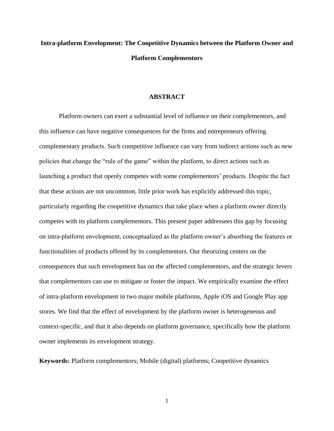# **Intra-platform Envelopment: The Coopetitive Dynamics between the Platform Owner and Platform Complementors**

#### **ABSTRACT**

Platform owners can exert a substantial level of influence on their complementors, and this influence can have negative consequences for the firms and entrepreneurs offering complementary products. Such competitive influence can vary from indirect actions such as new policies that change the "rule of the game" within the platform, to direct actions such as launching a product that openly competes with some complementors' products. Despite the fact that these actions are not uncommon, little prior work has explicitly addressed this topic, particularly regarding the coopetitive dynamics that take place when a platform owner directly competes with its platform complementors. This present paper addressees this gap by focusing on intra-platform envelopment, conceptualized as the platform owner's absorbing the features or functionalities of products offered by its complementors. Our theorizing centers on the consequences that such envelopment has on the affected complementors, and the strategic levers that complementors can use to mitigate or foster the impact. We empirically examine the effect of intra-platform envelopment in two major mobile platforms, Apple iOS and Google Play app stores. We find that the effect of envelopment by the platform owner is heterogeneous and context-specific, and that it also depends on platform governance, specifically how the platform owner implements its envelopment strategy.

**Keywords:** Platform complementors; Mobile (digital) platforms; Coopetitive dynamics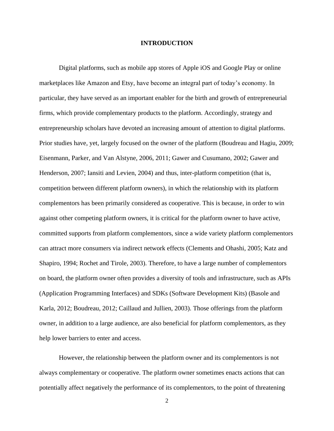#### **INTRODUCTION**

Digital platforms, such as mobile app stores of Apple iOS and Google Play or online marketplaces like Amazon and Etsy, have become an integral part of today's economy. In particular, they have served as an important enabler for the birth and growth of entrepreneurial firms, which provide complementary products to the platform. Accordingly, strategy and entrepreneurship scholars have devoted an increasing amount of attention to digital platforms. Prior studies have, yet, largely focused on the owner of the platform (Boudreau and Hagiu, 2009; Eisenmann, Parker, and Van Alstyne, 2006, 2011; Gawer and Cusumano, 2002; Gawer and Henderson, 2007; Iansiti and Levien, 2004) and thus, inter-platform competition (that is, competition between different platform owners), in which the relationship with its platform complementors has been primarily considered as cooperative. This is because, in order to win against other competing platform owners, it is critical for the platform owner to have active, committed supports from platform complementors, since a wide variety platform complementors can attract more consumers via indirect network effects (Clements and Ohashi, 2005; Katz and Shapiro, 1994; Rochet and Tirole, 2003). Therefore, to have a large number of complementors on board, the platform owner often provides a diversity of tools and infrastructure, such as APIs (Application Programming Interfaces) and SDKs (Software Development Kits) (Basole and Karla, 2012; Boudreau, 2012; Caillaud and Jullien, 2003). Those offerings from the platform owner, in addition to a large audience, are also beneficial for platform complementors, as they help lower barriers to enter and access.

However, the relationship between the platform owner and its complementors is not always complementary or cooperative. The platform owner sometimes enacts actions that can potentially affect negatively the performance of its complementors, to the point of threatening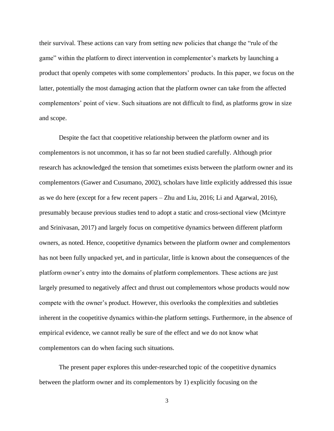their survival. These actions can vary from setting new policies that change the "rule of the game" within the platform to direct intervention in complementor's markets by launching a product that openly competes with some complementors' products. In this paper, we focus on the latter, potentially the most damaging action that the platform owner can take from the affected complementors' point of view. Such situations are not difficult to find, as platforms grow in size and scope.

Despite the fact that coopetitive relationship between the platform owner and its complementors is not uncommon, it has so far not been studied carefully. Although prior research has acknowledged the tension that sometimes exists between the platform owner and its complementors (Gawer and Cusumano, 2002), scholars have little explicitly addressed this issue as we do here (except for a few recent papers – Zhu and Liu, 2016; Li and Agarwal, 2016), presumably because previous studies tend to adopt a static and cross-sectional view (Mcintyre and Srinivasan, 2017) and largely focus on competitive dynamics between different platform owners, as noted. Hence, coopetitive dynamics between the platform owner and complementors has not been fully unpacked yet, and in particular, little is known about the consequences of the platform owner's entry into the domains of platform complementors. These actions are just largely presumed to negatively affect and thrust out complementors whose products would now compete with the owner's product. However, this overlooks the complexities and subtleties inherent in the coopetitive dynamics within-the platform settings. Furthermore, in the absence of empirical evidence, we cannot really be sure of the effect and we do not know what complementors can do when facing such situations.

The present paper explores this under-researched topic of the coopetitive dynamics between the platform owner and its complementors by 1) explicitly focusing on the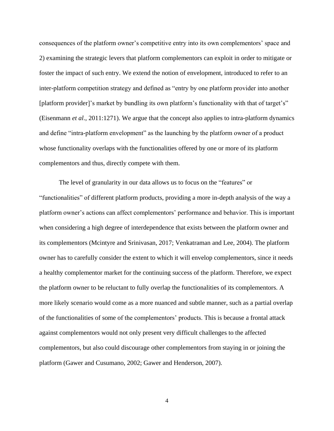consequences of the platform owner's competitive entry into its own complementors' space and 2) examining the strategic levers that platform complementors can exploit in order to mitigate or foster the impact of such entry. We extend the notion of envelopment, introduced to refer to an inter-platform competition strategy and defined as "entry by one platform provider into another [platform provider]'s market by bundling its own platform's functionality with that of target's" (Eisenmann *et al*., 2011:1271). We argue that the concept also applies to intra-platform dynamics and define "intra-platform envelopment" as the launching by the platform owner of a product whose functionality overlaps with the functionalities offered by one or more of its platform complementors and thus, directly compete with them.

The level of granularity in our data allows us to focus on the "features" or "functionalities" of different platform products, providing a more in-depth analysis of the way a platform owner's actions can affect complementors' performance and behavior. This is important when considering a high degree of interdependence that exists between the platform owner and its complementors (Mcintyre and Srinivasan, 2017; Venkatraman and Lee, 2004). The platform owner has to carefully consider the extent to which it will envelop complementors, since it needs a healthy complementor market for the continuing success of the platform. Therefore, we expect the platform owner to be reluctant to fully overlap the functionalities of its complementors. A more likely scenario would come as a more nuanced and subtle manner, such as a partial overlap of the functionalities of some of the complementors' products. This is because a frontal attack against complementors would not only present very difficult challenges to the affected complementors, but also could discourage other complementors from staying in or joining the platform (Gawer and Cusumano, 2002; Gawer and Henderson, 2007).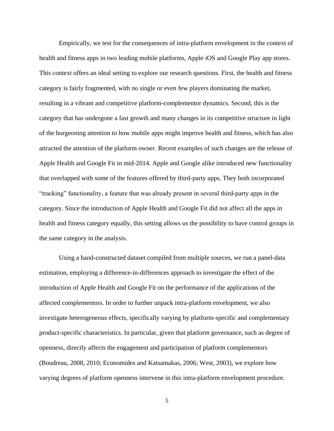Empirically, we test for the consequences of intra-platform envelopment in the context of health and fitness apps in two leading mobile platforms, Apple iOS and Google Play app stores. This context offers an ideal setting to explore our research questions. First, the health and fitness category is fairly fragmented, with no single or even few players dominating the market, resulting in a vibrant and competitive platform-complementor dynamics. Second, this is the category that has undergone a fast growth and many changes in its competitive structure in light of the burgeoning attention to how mobile apps might improve health and fitness, which has also attracted the attention of the platform owner. Recent examples of such changes are the release of Apple Health and Google Fit in mid-2014. Apple and Google alike introduced new functionality that overlapped with some of the features offered by third-party apps. They both incorporated "tracking" functionality, a feature that was already present in several third-party apps in the category. Since the introduction of Apple Health and Google Fit did not affect all the apps in health and fitness category equally, this setting allows us the possibility to have control groups in the same category in the analysis.

Using a hand-constructed dataset compiled from multiple sources, we run a panel-data estimation, employing a difference-in-differences approach to investigate the effect of the introduction of Apple Health and Google Fit on the performance of the applications of the affected complementors. In order to further unpack intra-platform envelopment, we also investigate heterogeneous effects, specifically varying by platform-specific and complementary product-specific characteristics. In particular, given that platform governance, such as degree of openness, directly affects the engagement and participation of platform complementors (Boudreau, 2008, 2010; Economides and Katsamakas, 2006; West, 2003), we explore how varying degrees of platform openness intervene in this intra-platform envelopment procedure.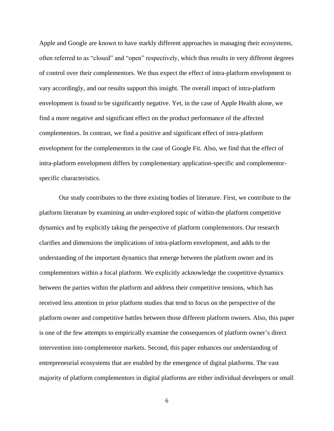Apple and Google are known to have starkly different approaches in managing their ecosystems, often referred to as "closed" and "open" respectively, which thus results in very different degrees of control over their complementors. We thus expect the effect of intra-platform envelopment to vary accordingly, and our results support this insight. The overall impact of intra-platform envelopment is found to be significantly negative. Yet, in the case of Apple Health alone, we find a more negative and significant effect on the product performance of the affected complementors. In contrast, we find a positive and significant effect of intra-platform envelopment for the complementors in the case of Google Fit. Also, we find that the effect of intra-platform envelopment differs by complementary application-specific and complementorspecific characteristics.

Our study contributes to the three existing bodies of literature. First, we contribute to the platform literature by examining an under-explored topic of within-the platform competitive dynamics and by explicitly taking the perspective of platform complementors. Our research clarifies and dimensions the implications of intra-platform envelopment, and adds to the understanding of the important dynamics that emerge between the platform owner and its complementors within a focal platform. We explicitly acknowledge the coopetitive dynamics between the parties within the platform and address their competitive tensions, which has received less attention in prior platform studies that tend to focus on the perspective of the platform owner and competitive battles between those different platform owners. Also, this paper is one of the few attempts to empirically examine the consequences of platform owner's direct intervention into complementor markets. Second, this paper enhances our understanding of entrepreneurial ecosystems that are enabled by the emergence of digital platforms. The vast majority of platform complementors in digital platforms are either individual developers or small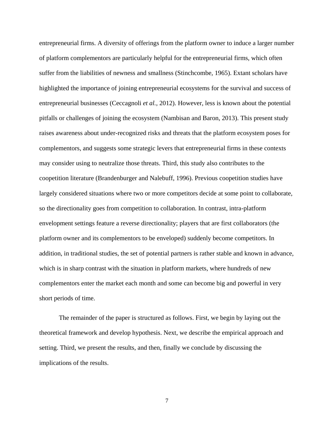entrepreneurial firms. A diversity of offerings from the platform owner to induce a larger number of platform complementors are particularly helpful for the entrepreneurial firms, which often suffer from the liabilities of newness and smallness (Stinchcombe, 1965). Extant scholars have highlighted the importance of joining entrepreneurial ecosystems for the survival and success of entrepreneurial businesses (Ceccagnoli *et al.,* 2012). However, less is known about the potential pitfalls or challenges of joining the ecosystem (Nambisan and Baron, 2013). This present study raises awareness about under-recognized risks and threats that the platform ecosystem poses for complementors, and suggests some strategic levers that entrepreneurial firms in these contexts may consider using to neutralize those threats. Third, this study also contributes to the coopetition literature (Brandenburger and Nalebuff, 1996). Previous coopetition studies have largely considered situations where two or more competitors decide at some point to collaborate, so the directionality goes from competition to collaboration. In contrast, intra-platform envelopment settings feature a reverse directionality; players that are first collaborators (the platform owner and its complementors to be enveloped) suddenly become competitors. In addition, in traditional studies, the set of potential partners is rather stable and known in advance, which is in sharp contrast with the situation in platform markets, where hundreds of new complementors enter the market each month and some can become big and powerful in very short periods of time.

The remainder of the paper is structured as follows. First, we begin by laying out the theoretical framework and develop hypothesis. Next, we describe the empirical approach and setting. Third, we present the results, and then, finally we conclude by discussing the implications of the results.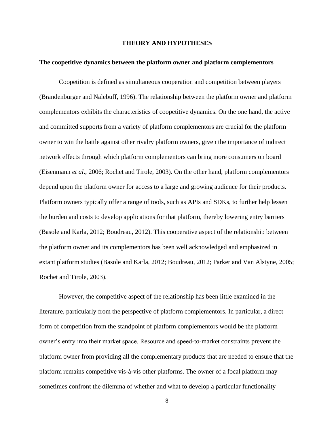#### **THEORY AND HYPOTHESES**

#### **The coopetitive dynamics between the platform owner and platform complementors**

Coopetition is defined as simultaneous cooperation and competition between players (Brandenburger and Nalebuff, 1996). The relationship between the platform owner and platform complementors exhibits the characteristics of coopetitive dynamics. On the one hand, the active and committed supports from a variety of platform complementors are crucial for the platform owner to win the battle against other rivalry platform owners, given the importance of indirect network effects through which platform complementors can bring more consumers on board (Eisenmann *et al*., 2006; Rochet and Tirole, 2003). On the other hand, platform complementors depend upon the platform owner for access to a large and growing audience for their products. Platform owners typically offer a range of tools, such as APIs and SDKs, to further help lessen the burden and costs to develop applications for that platform, thereby lowering entry barriers (Basole and Karla, 2012; Boudreau, 2012). This cooperative aspect of the relationship between the platform owner and its complementors has been well acknowledged and emphasized in extant platform studies (Basole and Karla, 2012; Boudreau, 2012; Parker and Van Alstyne, 2005; Rochet and Tirole, 2003).

However, the competitive aspect of the relationship has been little examined in the literature, particularly from the perspective of platform complementors. In particular, a direct form of competition from the standpoint of platform complementors would be the platform owner's entry into their market space. Resource and speed-to-market constraints prevent the platform owner from providing all the complementary products that are needed to ensure that the platform remains competitive vis-à-vis other platforms. The owner of a focal platform may sometimes confront the dilemma of whether and what to develop a particular functionality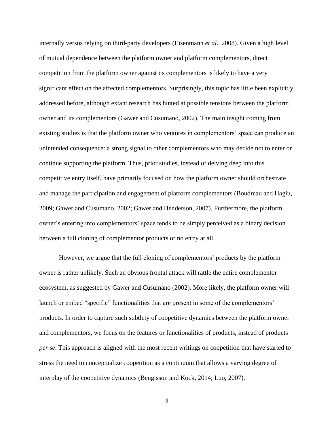internally versus relying on third-party developers (Eisenmann *et al*., 2008). Given a high level of mutual dependence between the platform owner and platform complementors, direct competition from the platform owner against its complementors is likely to have a very significant effect on the affected complementors. Surprisingly, this topic has little been explicitly addressed before, although extant research has hinted at possible tensions between the platform owner and its complementors (Gawer and Cusumano, 2002). The main insight coming from existing studies is that the platform owner who ventures in complementors' space can produce an unintended consequence: a strong signal to other complementors who may decide not to enter or continue supporting the platform. Thus, prior studies, instead of delving deep into this competitive entry itself, have primarily focused on how the platform owner should orchestrate and manage the participation and engagement of platform complementors (Boudreau and Hagiu, 2009; Gawer and Cusumano, 2002; Gawer and Henderson, 2007). Furthermore, the platform owner's entering into complementors' space tends to be simply perceived as a binary decision between a full cloning of complementor products or no entry at all.

However, we argue that the full cloning of complementors' products by the platform owner is rather unlikely. Such an obvious frontal attack will rattle the entire complementor ecosystem, as suggested by Gawer and Cusumano (2002). More likely, the platform owner will launch or embed "specific" functionalities that are present in some of the complementors' products. In order to capture such subtlety of coopetitive dynamics between the platform owner and complementors, we focus on the features or functionalities of products, instead of products *per se*. This approach is aligned with the most recent writings on coopetition that have started to stress the need to conceptualize coopetition as a continuum that allows a varying degree of interplay of the coopetitive dynamics (Bengtsson and Kock, 2014; Luo, 2007).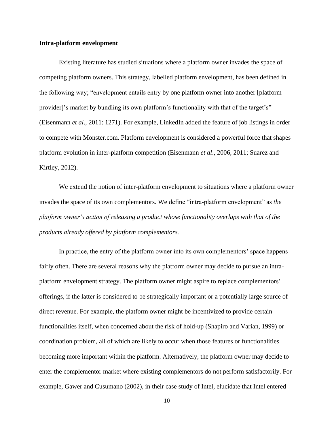#### **Intra-platform envelopment**

Existing literature has studied situations where a platform owner invades the space of competing platform owners. This strategy, labelled platform envelopment, has been defined in the following way; "envelopment entails entry by one platform owner into another [platform provider]'s market by bundling its own platform's functionality with that of the target's" (Eisenmann *et al*., 2011: 1271). For example, LinkedIn added the feature of job listings in order to compete with Monster.com. Platform envelopment is considered a powerful force that shapes platform evolution in inter-platform competition (Eisenmann *et al*.*,* 2006, 2011; Suarez and Kirtley, 2012).

We extend the notion of inter-platform envelopment to situations where a platform owner invades the space of its own complementors. We define "intra-platform envelopment" as *the platform owner's action of releasing a product whose functionality overlaps with that of the products already offered by platform complementors.* 

In practice, the entry of the platform owner into its own complementors' space happens fairly often. There are several reasons why the platform owner may decide to pursue an intraplatform envelopment strategy. The platform owner might aspire to replace complementors' offerings, if the latter is considered to be strategically important or a potentially large source of direct revenue. For example, the platform owner might be incentivized to provide certain functionalities itself, when concerned about the risk of hold-up (Shapiro and Varian, 1999) or coordination problem, all of which are likely to occur when those features or functionalities becoming more important within the platform. Alternatively, the platform owner may decide to enter the complementor market where existing complementors do not perform satisfactorily. For example, Gawer and Cusumano (2002), in their case study of Intel, elucidate that Intel entered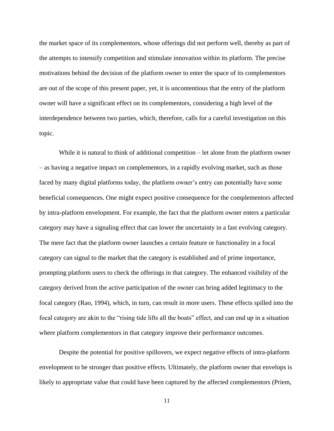the market space of its complementors, whose offerings did not perform well, thereby as part of the attempts to intensify competition and stimulate innovation within its platform. The precise motivations behind the decision of the platform owner to enter the space of its complementors are out of the scope of this present paper, yet, it is uncontentious that the entry of the platform owner will have a significant effect on its complementors, considering a high level of the interdependence between two parties, which, therefore, calls for a careful investigation on this topic.

While it is natural to think of additional competition – let alone from the platform owner – as having a negative impact on complementors, in a rapidly evolving market, such as those faced by many digital platforms today, the platform owner's entry can potentially have some beneficial consequences. One might expect positive consequence for the complementors affected by intra-platform envelopment. For example, the fact that the platform owner enters a particular category may have a signaling effect that can lower the uncertainty in a fast evolving category. The mere fact that the platform owner launches a certain feature or functionality in a focal category can signal to the market that the category is established and of prime importance, prompting platform users to check the offerings in that category. The enhanced visibility of the category derived from the active participation of the owner can bring added legitimacy to the focal category (Rao, 1994), which, in turn, can result in more users. These effects spilled into the focal category are akin to the "rising tide lifts all the boats" effect, and can end up in a situation where platform complementors in that category improve their performance outcomes.

Despite the potential for positive spillovers, we expect negative effects of intra-platform envelopment to be stronger than positive effects. Ultimately, the platform owner that envelops is likely to appropriate value that could have been captured by the affected complementors (Priem,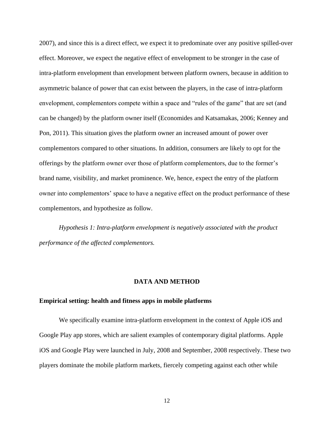2007), and since this is a direct effect, we expect it to predominate over any positive spilled-over effect. Moreover, we expect the negative effect of envelopment to be stronger in the case of intra-platform envelopment than envelopment between platform owners, because in addition to asymmetric balance of power that can exist between the players, in the case of intra-platform envelopment, complementors compete within a space and "rules of the game" that are set (and can be changed) by the platform owner itself (Economides and Katsamakas, 2006; Kenney and Pon, 2011). This situation gives the platform owner an increased amount of power over complementors compared to other situations. In addition, consumers are likely to opt for the offerings by the platform owner over those of platform complementors, due to the former's brand name, visibility, and market prominence. We, hence, expect the entry of the platform owner into complementors' space to have a negative effect on the product performance of these complementors, and hypothesize as follow.

*Hypothesis 1: Intra-platform envelopment is negatively associated with the product performance of the affected complementors.* 

#### **DATA AND METHOD**

#### **Empirical setting: health and fitness apps in mobile platforms**

We specifically examine intra-platform envelopment in the context of Apple iOS and Google Play app stores, which are salient examples of contemporary digital platforms. Apple iOS and Google Play were launched in July, 2008 and September, 2008 respectively. These two players dominate the mobile platform markets, fiercely competing against each other while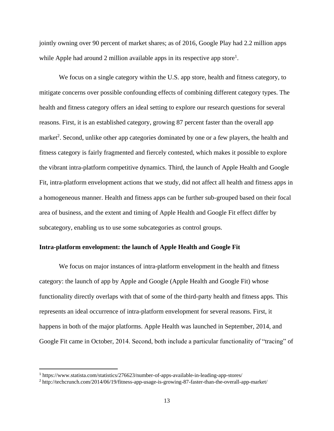jointly owning over 90 percent of market shares; as of 2016, Google Play had 2.2 million apps while Apple had around 2 million available apps in its respective app store<sup>1</sup>.

We focus on a single category within the U.S. app store, health and fitness category, to mitigate concerns over possible confounding effects of combining different category types. The health and fitness category offers an ideal setting to explore our research questions for several reasons. First, it is an established category, growing 87 percent faster than the overall app market<sup>2</sup>. Second, unlike other app categories dominated by one or a few players, the health and fitness category is fairly fragmented and fiercely contested, which makes it possible to explore the vibrant intra-platform competitive dynamics. Third, the launch of Apple Health and Google Fit, intra-platform envelopment actions that we study, did not affect all health and fitness apps in a homogeneous manner. Health and fitness apps can be further sub-grouped based on their focal area of business, and the extent and timing of Apple Health and Google Fit effect differ by subcategory, enabling us to use some subcategories as control groups.

#### **Intra-platform envelopment: the launch of Apple Health and Google Fit**

We focus on major instances of intra-platform envelopment in the health and fitness category: the launch of app by Apple and Google (Apple Health and Google Fit) whose functionality directly overlaps with that of some of the third-party health and fitness apps. This represents an ideal occurrence of intra-platform envelopment for several reasons. First, it happens in both of the major platforms. Apple Health was launched in September, 2014, and Google Fit came in October, 2014. Second, both include a particular functionality of "tracing" of

 $\overline{\phantom{a}}$ 

<sup>1</sup> https://www.statista.com/statistics/276623/number-of-apps-available-in-leading-app-stores/

<sup>2</sup> http://techcrunch.com/2014/06/19/fitness-app-usage-is-growing-87-faster-than-the-overall-app-market/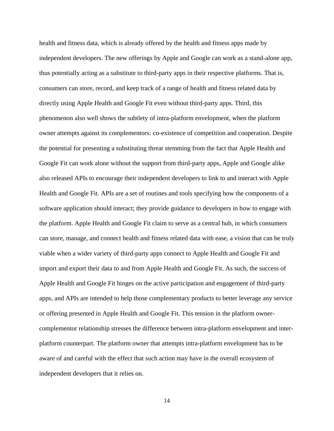health and fitness data, which is already offered by the health and fitness apps made by independent developers. The new offerings by Apple and Google can work as a stand-alone app, thus potentially acting as a substitute to third-party apps in their respective platforms. That is, consumers can store, record, and keep track of a range of health and fitness related data by directly using Apple Health and Google Fit even without third-party apps. Third, this phenomenon also well shows the subtlety of intra-platform envelopment, when the platform owner attempts against its complementors: co-existence of competition and cooperation. Despite the potential for presenting a substituting threat stemming from the fact that Apple Health and Google Fit can work alone without the support from third-party apps, Apple and Google alike also released APIs to encourage their independent developers to link to and interact with Apple Health and Google Fit. APIs are a set of routines and tools specifying how the components of a software application should interact; they provide guidance to developers in how to engage with the platform. Apple Health and Google Fit claim to serve as a central hub, in which consumers can store, manage, and connect health and fitness related data with ease, a vision that can be truly viable when a wider variety of third-party apps connect to Apple Health and Google Fit and import and export their data to and from Apple Health and Google Fit. As such, the success of Apple Health and Google Fit hinges on the active participation and engagement of third-party apps, and APIs are intended to help those complementary products to better leverage any service or offering presented in Apple Health and Google Fit. This tension in the platform ownercomplementor relationship stresses the difference between intra-platform envelopment and interplatform counterpart. The platform owner that attempts intra-platform envelopment has to be aware of and careful with the effect that such action may have in the overall ecosystem of independent developers that it relies on.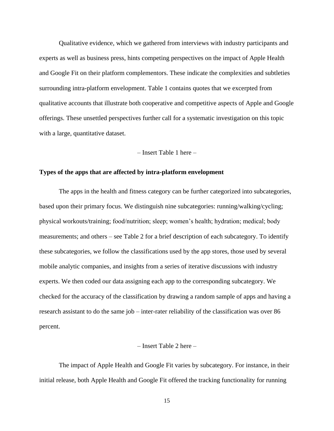Qualitative evidence, which we gathered from interviews with industry participants and experts as well as business press, hints competing perspectives on the impact of Apple Health and Google Fit on their platform complementors. These indicate the complexities and subtleties surrounding intra-platform envelopment. Table 1 contains quotes that we excerpted from qualitative accounts that illustrate both cooperative and competitive aspects of Apple and Google offerings. These unsettled perspectives further call for a systematic investigation on this topic with a large, quantitative dataset.

– Insert Table 1 here –

#### **Types of the apps that are affected by intra-platform envelopment**

The apps in the health and fitness category can be further categorized into subcategories, based upon their primary focus. We distinguish nine subcategories: running/walking/cycling; physical workouts/training; food/nutrition; sleep; women's health; hydration; medical; body measurements; and others – see Table 2 for a brief description of each subcategory. To identify these subcategories, we follow the classifications used by the app stores, those used by several mobile analytic companies, and insights from a series of iterative discussions with industry experts. We then coded our data assigning each app to the corresponding subcategory. We checked for the accuracy of the classification by drawing a random sample of apps and having a research assistant to do the same job – inter-rater reliability of the classification was over 86 percent.

#### – Insert Table 2 here –

The impact of Apple Health and Google Fit varies by subcategory. For instance, in their initial release, both Apple Health and Google Fit offered the tracking functionality for running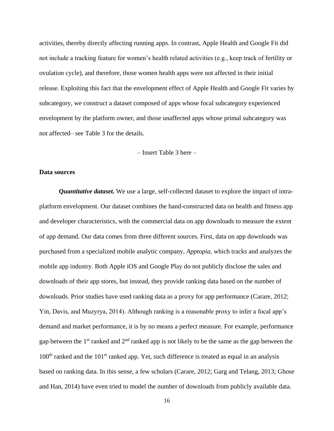activities, thereby directly affecting running apps. In contrast, Apple Health and Google Fit did not include a tracking feature for women's health related activities (e.g., keep track of fertility or ovulation cycle), and therefore, those women health apps were not affected in their initial release. Exploiting this fact that the envelopment effect of Apple Health and Google Fit varies by subcategory, we construct a dataset composed of apps whose focal subcategory experienced envelopment by the platform owner, and those unaffected apps whose primal subcategory was not affected– see Table 3 for the details.

– Insert Table 3 here –

#### **Data sources**

*Quantitative dataset.* We use a large, self-collected dataset to explore the impact of intraplatform envelopment. Our dataset combines the hand-constructed data on health and fitness app and developer characteristics, with the commercial data on app downloads to measure the extent of app demand. Our data comes from three different sources. First, data on app downloads was purchased from a specialized mobile analytic company, *Apptopia,* which tracks and analyzes the mobile app industry. Both Apple iOS and Google Play do not publicly disclose the sales and downloads of their app stores, but instead, they provide ranking data based on the number of downloads. Prior studies have used ranking data as a proxy for app performance (Carare, 2012; Yin, Davis, and Muzyrya, 2014). Although ranking is a reasonable proxy to infer a focal app's demand and market performance, it is by no means a perfect measure. For example, performance gap between the  $1<sup>st</sup>$  ranked and  $2<sup>nd</sup>$  ranked app is not likely to be the same as the gap between the  $100<sup>th</sup>$  ranked and the  $101<sup>st</sup>$  ranked app. Yet, such difference is treated as equal in an analysis based on ranking data. In this sense, a few scholars (Carare, 2012; Garg and Telang, 2013; Ghose and Han, 2014) have even tried to model the number of downloads from publicly available data.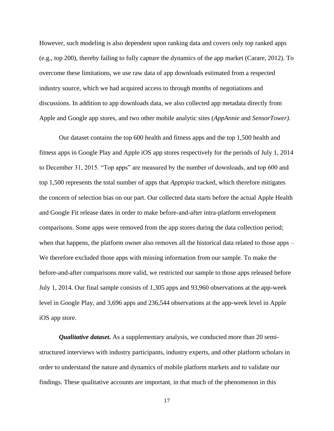However, such modeling is also dependent upon ranking data and covers only top ranked apps (e.g., top 200), thereby failing to fully capture the dynamics of the app market (Carare, 2012). To overcome these limitations, we use raw data of app downloads estimated from a respected industry source, which we had acquired access to through months of negotiations and discussions. In addition to app downloads data, we also collected app metadata directly from Apple and Google app stores, and two other mobile analytic sites (*AppAnnie* and *SensorTower).* 

Our dataset contains the top 600 health and fitness apps and the top 1,500 health and fitness apps in Google Play and Apple iOS app stores respectively for the periods of July 1, 2014 to December 31, 2015. "Top apps" are measured by the number of downloads, and top 600 and top 1,500 represents the total number of apps that *Apptopia* tracked, which therefore mitigates the concern of selection bias on our part. Our collected data starts before the actual Apple Health and Google Fit release dates in order to make before-and-after intra-platform envelopment comparisons. Some apps were removed from the app stores during the data collection period; when that happens, the platform owner also removes all the historical data related to those apps – We therefore excluded those apps with missing information from our sample. To make the before-and-after comparisons more valid, we restricted our sample to those apps released before July 1, 2014. Our final sample consists of 1,305 apps and 93,960 observations at the app-week level in Google Play, and 3,696 apps and 236,544 observations at the app-week level in Apple iOS app store.

*Qualitative dataset.* As a supplementary analysis, we conducted more than 20 semistructured interviews with industry participants, industry experts, and other platform scholars in order to understand the nature and dynamics of mobile platform markets and to validate our findings. These qualitative accounts are important, in that much of the phenomenon in this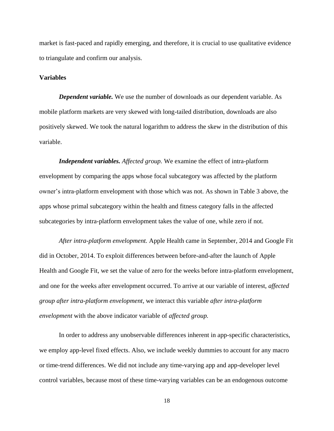market is fast-paced and rapidly emerging, and therefore, it is crucial to use qualitative evidence to triangulate and confirm our analysis.

#### **Variables**

*Dependent variable.* We use the number of downloads as our dependent variable. As mobile platform markets are very skewed with long-tailed distribution, downloads are also positively skewed. We took the natural logarithm to address the skew in the distribution of this variable.

*Independent variables. Affected group.* We examine the effect of intra-platform envelopment by comparing the apps whose focal subcategory was affected by the platform owner's intra-platform envelopment with those which was not. As shown in Table 3 above, the apps whose primal subcategory within the health and fitness category falls in the affected subcategories by intra-platform envelopment takes the value of one, while zero if not.

*After intra-platform envelopment.* Apple Health came in September, 2014 and Google Fit did in October, 2014. To exploit differences between before-and-after the launch of Apple Health and Google Fit, we set the value of zero for the weeks before intra-platform envelopment, and one for the weeks after envelopment occurred. To arrive at our variable of interest, *affected group after intra-platform envelopment,* we interact this variable *after intra-platform envelopment* with the above indicator variable of *affected group.* 

In order to address any unobservable differences inherent in app-specific characteristics, we employ app-level fixed effects. Also, we include weekly dummies to account for any macro or time-trend differences. We did not include any time-varying app and app-developer level control variables, because most of these time-varying variables can be an endogenous outcome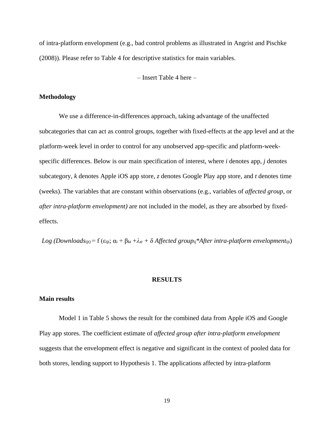of intra-platform envelopment (e.g., bad control problems as illustrated in Angrist and Pischke (2008)). Please refer to Table 4 for descriptive statistics for main variables.

– Insert Table 4 here –

#### **Methodology**

We use a difference-in-differences approach, taking advantage of the unaffected subcategories that can act as control groups, together with fixed-effects at the app level and at the platform-week level in order to control for any unobserved app-specific and platform-weekspecific differences. Below is our main specification of interest, where *i* denotes app, *j* denotes subcategory, *k* denotes Apple iOS app store, *z* denotes Google Play app store, and *t* denotes time (weeks). The variables that are constant within observations (e.g., variables of *affected group,* or *after intra-platform envelopment)* are not included in the model, as they are absorbed by fixedeffects.

*Log (Downloadsijt)* = f (ε*ijt;*  $\alpha$ *i* + β<sub>kt</sub> + λ<sub>*zt*</sub> + δ *Affected group<sub>ij</sub>\*After <i>intra-platform envelopmentijt*)

#### **RESULTS**

#### **Main results**

Model 1 in Table 5 shows the result for the combined data from Apple iOS and Google Play app stores. The coefficient estimate of *affected group after intra-platform envelopment*  suggests that the envelopment effect is negative and significant in the context of pooled data for both stores, lending support to Hypothesis 1. The applications affected by intra-platform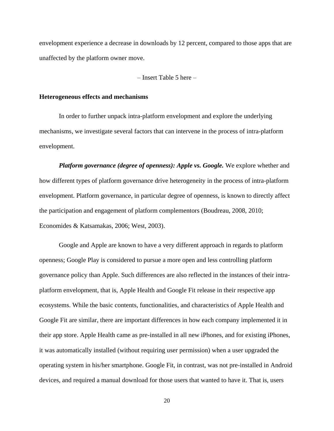envelopment experience a decrease in downloads by 12 percent, compared to those apps that are unaffected by the platform owner move.

– Insert Table 5 here –

#### **Heterogeneous effects and mechanisms**

In order to further unpack intra-platform envelopment and explore the underlying mechanisms, we investigate several factors that can intervene in the process of intra-platform envelopment.

*Platform governance (degree of openness): Apple vs. Google.* We explore whether and how different types of platform governance drive heterogeneity in the process of intra-platform envelopment. Platform governance, in particular degree of openness, is known to directly affect the participation and engagement of platform complementors (Boudreau, 2008, 2010; Economides & Katsamakas, 2006; West, 2003).

Google and Apple are known to have a very different approach in regards to platform openness; Google Play is considered to pursue a more open and less controlling platform governance policy than Apple. Such differences are also reflected in the instances of their intraplatform envelopment, that is, Apple Health and Google Fit release in their respective app ecosystems. While the basic contents, functionalities, and characteristics of Apple Health and Google Fit are similar, there are important differences in how each company implemented it in their app store. Apple Health came as pre-installed in all new iPhones, and for existing iPhones, it was automatically installed (without requiring user permission) when a user upgraded the operating system in his/her smartphone. Google Fit, in contrast, was not pre-installed in Android devices, and required a manual download for those users that wanted to have it. That is, users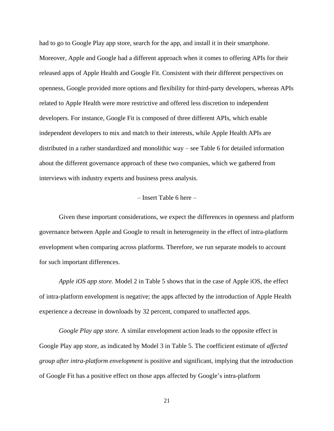had to go to Google Play app store, search for the app, and install it in their smartphone. Moreover, Apple and Google had a different approach when it comes to offering APIs for their released apps of Apple Health and Google Fit. Consistent with their different perspectives on openness, Google provided more options and flexibility for third-party developers, whereas APIs related to Apple Health were more restrictive and offered less discretion to independent developers. For instance, Google Fit is composed of three different APIs, which enable independent developers to mix and match to their interests, while Apple Health APIs are distributed in a rather standardized and monolithic way – see Table 6 for detailed information about the different governance approach of these two companies, which we gathered from interviews with industry experts and business press analysis.

### – Insert Table 6 here –

Given these important considerations, we expect the differences in openness and platform governance between Apple and Google to result in heterogeneity in the effect of intra-platform envelopment when comparing across platforms. Therefore, we run separate models to account for such important differences.

*Apple iOS app store.* Model 2 in Table 5 shows that in the case of Apple iOS, the effect of intra-platform envelopment is negative; the apps affected by the introduction of Apple Health experience a decrease in downloads by 32 percent, compared to unaffected apps.

*Google Play app store.* A similar envelopment action leads to the opposite effect in Google Play app store, as indicated by Model 3 in Table 5. The coefficient estimate of *affected group after intra-platform envelopment* is positive and significant, implying that the introduction of Google Fit has a positive effect on those apps affected by Google's intra-platform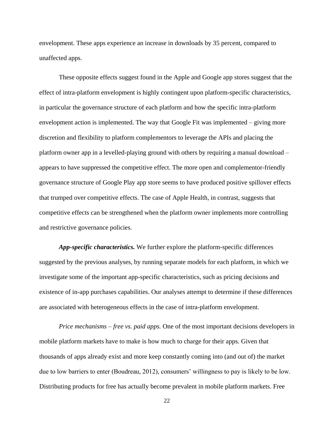envelopment. These apps experience an increase in downloads by 35 percent, compared to unaffected apps.

These opposite effects suggest found in the Apple and Google app stores suggest that the effect of intra-platform envelopment is highly contingent upon platform-specific characteristics, in particular the governance structure of each platform and how the specific intra-platform envelopment action is implemented. The way that Google Fit was implemented – giving more discretion and flexibility to platform complementors to leverage the APIs and placing the platform owner app in a levelled-playing ground with others by requiring a manual download – appears to have suppressed the competitive effect. The more open and complementor-friendly governance structure of Google Play app store seems to have produced positive spillover effects that trumped over competitive effects. The case of Apple Health, in contrast, suggests that competitive effects can be strengthened when the platform owner implements more controlling and restrictive governance policies.

*App-specific characteristics.* We further explore the platform-specific differences suggested by the previous analyses, by running separate models for each platform, in which we investigate some of the important app-specific characteristics, such as pricing decisions and existence of in-app purchases capabilities. Our analyses attempt to determine if these differences are associated with heterogeneous effects in the case of intra-platform envelopment.

*Price mechanisms – free vs. paid apps.* One of the most important decisions developers in mobile platform markets have to make is how much to charge for their apps. Given that thousands of apps already exist and more keep constantly coming into (and out of) the market due to low barriers to enter (Boudreau, 2012), consumers' willingness to pay is likely to be low. Distributing products for free has actually become prevalent in mobile platform markets. Free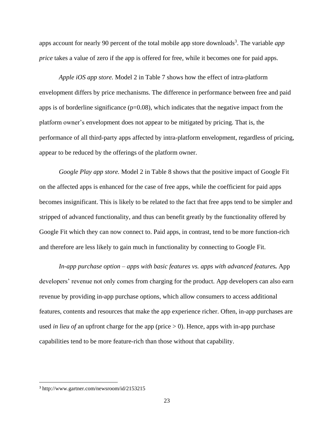apps account for nearly 90 percent of the total mobile app store downloads<sup>3</sup>. The variable *app price* takes a value of zero if the app is offered for free, while it becomes one for paid apps.

*Apple iOS app store.* Model 2 in Table 7 shows how the effect of intra-platform envelopment differs by price mechanisms. The difference in performance between free and paid apps is of borderline significance ( $p=0.08$ ), which indicates that the negative impact from the platform owner's envelopment does not appear to be mitigated by pricing. That is, the performance of all third-party apps affected by intra-platform envelopment, regardless of pricing, appear to be reduced by the offerings of the platform owner.

*Google Play app store.* Model 2 in Table 8 shows that the positive impact of Google Fit on the affected apps is enhanced for the case of free apps, while the coefficient for paid apps becomes insignificant. This is likely to be related to the fact that free apps tend to be simpler and stripped of advanced functionality, and thus can benefit greatly by the functionality offered by Google Fit which they can now connect to. Paid apps, in contrast, tend to be more function-rich and therefore are less likely to gain much in functionality by connecting to Google Fit.

*In-app purchase option – apps with basic features vs. apps with advanced features.* App developers' revenue not only comes from charging for the product. App developers can also earn revenue by providing in-app purchase options, which allow consumers to access additional features, contents and resources that make the app experience richer. Often, in-app purchases are used *in lieu of* an upfront charge for the app (price  $> 0$ ). Hence, apps with in-app purchase capabilities tend to be more feature-rich than those without that capability.

 $\overline{a}$ 

<sup>3</sup> http://www.gartner.com/newsroom/id/2153215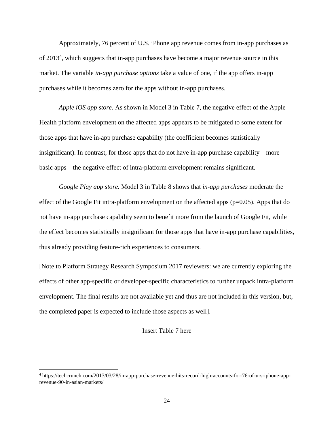Approximately, 76 percent of U.S. iPhone app revenue comes from in-app purchases as of 2013<sup>4</sup> , which suggests that in-app purchases have become a major revenue source in this market. The variable *in-app purchase options* take a value of one, if the app offers in-app purchases while it becomes zero for the apps without in-app purchases.

*Apple iOS app store.* As shown in Model 3 in Table 7, the negative effect of the Apple Health platform envelopment on the affected apps appears to be mitigated to some extent for those apps that have in-app purchase capability (the coefficient becomes statistically insignificant). In contrast, for those apps that do not have in-app purchase capability – more basic apps – the negative effect of intra-platform envelopment remains significant.

*Google Play app store.* Model 3 in Table 8 shows that *in-app purchases* moderate the effect of the Google Fit intra-platform envelopment on the affected apps (p=0.05). Apps that do not have in-app purchase capability seem to benefit more from the launch of Google Fit, while the effect becomes statistically insignificant for those apps that have in-app purchase capabilities, thus already providing feature-rich experiences to consumers.

[Note to Platform Strategy Research Symposium 2017 reviewers: we are currently exploring the effects of other app-specific or developer-specific characteristics to further unpack intra-platform envelopment. The final results are not available yet and thus are not included in this version, but, the completed paper is expected to include those aspects as well].

– Insert Table 7 here –

 $\overline{\phantom{a}}$ 

<sup>4</sup> https://techcrunch.com/2013/03/28/in-app-purchase-revenue-hits-record-high-accounts-for-76-of-u-s-iphone-apprevenue-90-in-asian-markets/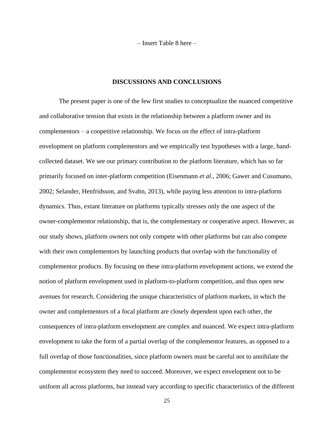– Insert Table 8 here –

#### **DISCUSSIONS AND CONCLUSIONS**

The present paper is one of the few first studies to conceptualize the nuanced competitive and collaborative tension that exists in the relationship between a platform owner and its complementors – a coopetitive relationship. We focus on the effect of intra-platform envelopment on platform complementors and we empirically test hypotheses with a large, handcollected dataset. We see our primary contribution to the platform literature, which has so far primarily focused on inter-platform competition (Eisenmann *et al*., 2006; Gawer and Cusumano, 2002; Selander, Henfridsson, and Svahn, 2013), while paying less attention to intra-platform dynamics. Thus, extant literature on platforms typically stresses only the one aspect of the owner-complementor relationship, that is, the complementary or cooperative aspect. However, as our study shows, platform owners not only compete with other platforms but can also compete with their own complementors by launching products that overlap with the functionality of complementor products. By focusing on these intra-platform envelopment actions, we extend the notion of platform envelopment used in platform-to-platform competition, and thus open new avenues for research. Considering the unique characteristics of platform markets, in which the owner and complementors of a focal platform are closely dependent upon each other, the consequences of intra-platform envelopment are complex and nuanced. We expect intra-platform envelopment to take the form of a partial overlap of the complementor features, as opposed to a full overlap of those functionalities, since platform owners must be careful not to annihilate the complementor ecosystem they need to succeed. Moreover, we expect envelopment not to be uniform all across platforms, but instead vary according to specific characteristics of the different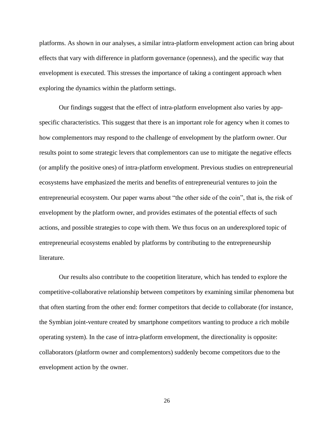platforms. As shown in our analyses, a similar intra-platform envelopment action can bring about effects that vary with difference in platform governance (openness), and the specific way that envelopment is executed. This stresses the importance of taking a contingent approach when exploring the dynamics within the platform settings.

Our findings suggest that the effect of intra-platform envelopment also varies by appspecific characteristics. This suggest that there is an important role for agency when it comes to how complementors may respond to the challenge of envelopment by the platform owner. Our results point to some strategic levers that complementors can use to mitigate the negative effects (or amplify the positive ones) of intra-platform envelopment. Previous studies on entrepreneurial ecosystems have emphasized the merits and benefits of entrepreneurial ventures to join the entrepreneurial ecosystem. Our paper warns about "the other side of the coin", that is, the risk of envelopment by the platform owner, and provides estimates of the potential effects of such actions, and possible strategies to cope with them. We thus focus on an underexplored topic of entrepreneurial ecosystems enabled by platforms by contributing to the entrepreneurship literature.

Our results also contribute to the coopetition literature, which has tended to explore the competitive-collaborative relationship between competitors by examining similar phenomena but that often starting from the other end: former competitors that decide to collaborate (for instance, the Symbian joint-venture created by smartphone competitors wanting to produce a rich mobile operating system). In the case of intra-platform envelopment, the directionality is opposite: collaborators (platform owner and complementors) suddenly become competitors due to the envelopment action by the owner.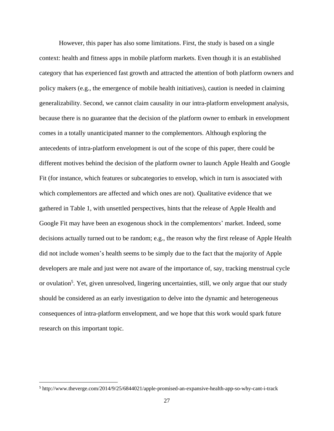However, this paper has also some limitations. First, the study is based on a single context: health and fitness apps in mobile platform markets. Even though it is an established category that has experienced fast growth and attracted the attention of both platform owners and policy makers (e.g., the emergence of mobile health initiatives), caution is needed in claiming generalizability. Second, we cannot claim causality in our intra-platform envelopment analysis, because there is no guarantee that the decision of the platform owner to embark in envelopment comes in a totally unanticipated manner to the complementors. Although exploring the antecedents of intra-platform envelopment is out of the scope of this paper, there could be different motives behind the decision of the platform owner to launch Apple Health and Google Fit (for instance, which features or subcategories to envelop, which in turn is associated with which complementors are affected and which ones are not). Qualitative evidence that we gathered in Table 1, with unsettled perspectives, hints that the release of Apple Health and Google Fit may have been an exogenous shock in the complementors' market. Indeed, some decisions actually turned out to be random; e.g., the reason why the first release of Apple Health did not include women's health seems to be simply due to the fact that the majority of Apple developers are male and just were not aware of the importance of, say, tracking menstrual cycle or ovulation<sup>5</sup>. Yet, given unresolved, lingering uncertainties, still, we only argue that our study should be considered as an early investigation to delve into the dynamic and heterogeneous consequences of intra-platform envelopment, and we hope that this work would spark future research on this important topic.

 $\overline{a}$ 

<sup>5</sup> http://www.theverge.com/2014/9/25/6844021/apple-promised-an-expansive-health-app-so-why-cant-i-track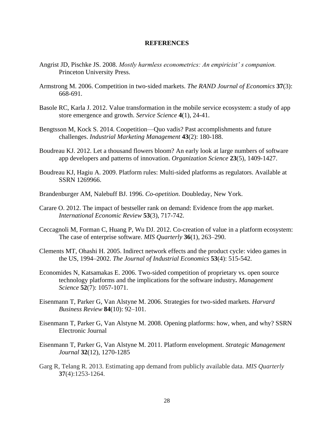#### **REFERENCES**

- Angrist JD, Pischke JS. 2008. *Mostly harmless econometrics: An empiricist' s companion.* Princeton University Press.
- Armstrong M. 2006. Competition in two‐sided markets. *The RAND Journal of Economics* **37**(3): 668-691.
- Basole RC, Karla J. 2012. Value transformation in the mobile service ecosystem: a study of app store emergence and growth. *Service Science* **4**(1), 24-41.
- Bengtsson M, Kock S. 2014. Coopetition—Quo vadis? Past accomplishments and future challenges. *Industrial Marketing Management* **43**(2): 180-188.
- Boudreau KJ. 2012. Let a thousand flowers bloom? An early look at large numbers of software app developers and patterns of innovation. *Organization Science* **23**(5), 1409-1427.
- Boudreau KJ, Hagiu A. 2009. Platform rules: Multi-sided platforms as regulators. Available at SSRN 1269966.
- Brandenburger AM, Nalebuff BJ. 1996. *Co-opetition*. Doubleday, New York.
- Carare O. 2012. The impact of bestseller rank on demand: Evidence from the app market. *International Economic Review* **53**(3), 717-742.
- Ceccagnoli M, Forman C, Huang P, Wu DJ. 2012. Co-creation of value in a platform ecosystem: The case of enterprise software. *MIS Quarterly* **36**(1), 263–290.
- Clements MT, Ohashi H. 2005. Indirect network effects and the product cycle: video games in the US, 1994–2002. *The Journal of Industrial Economics* **53**(4): 515-542.
- Economides N, Katsamakas E. 2006. Two-sided competition of proprietary vs. open source technology platforms and the implications for the software industry*. Management Science* **52**(7): 1057-1071.
- Eisenmann T, Parker G, Van Alstyne M. 2006. Strategies for two-sided markets. *Harvard Business Review* **84**(10): 92–101.
- Eisenmann T, Parker G, Van Alstyne M. 2008. Opening platforms: how, when, and why? SSRN Electronic Journal
- Eisenmann T, Parker G, Van Alstyne M. 2011. Platform envelopment. *Strategic Management Journal* **32**(12), 1270-1285
- Garg R, Telang R. 2013. Estimating app demand from publicly available data. *MIS Quarterly* **37**(4):1253-1264.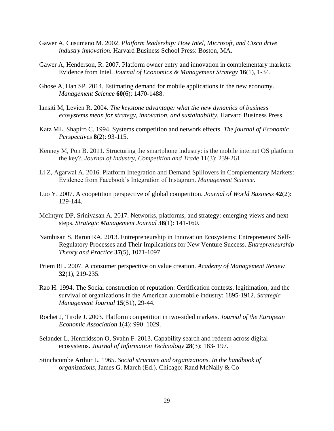- Gawer A, Cusumano M. 2002. *Platform leadership: How Intel, Microsoft, and Cisco drive industry innovation.* Harvard Business School Press: Boston, MA.
- Gawer A, Henderson, R. 2007. Platform owner entry and innovation in complementary markets: Evidence from Intel. *Journal of Economics & Management Strategy* **16**(1), 1-34.
- Ghose A, Han SP. 2014. Estimating demand for mobile applications in the new economy. *Management Science* **60**(6): 1470-1488.
- Iansiti M, Levien R. 2004. *The keystone advantage: what the new dynamics of business ecosystems mean for strategy, innovation, and sustainability.* Harvard Business Press.
- Katz ML, Shapiro C. 1994. Systems competition and network effects. *The journal of Economic Perspectives* **8**(2): 93-115.
- Kenney M, Pon B. 2011. Structuring the smartphone industry: is the mobile internet OS platform the key?. *Journal of Industry, Competition and Trade* **11**(3): 239-261.
- Li Z, Agarwal A. 2016. Platform Integration and Demand Spillovers in Complementary Markets: Evidence from Facebook's Integration of Instagram. *Management Science*.
- Luo Y. 2007. A coopetition perspective of global competition. *Journal of World Business* **42**(2): 129-144.
- McIntyre DP, Srinivasan A. 2017. Networks, platforms, and strategy: emerging views and next steps. *Strategic Management Journal* **38**(1): 141-160.
- Nambisan S, Baron RA. 2013. Entrepreneurship in Innovation Ecosystems: Entrepreneurs' Self‐ Regulatory Processes and Their Implications for New Venture Success. *Entrepreneurship Theory and Practice* **37**(5), 1071-1097.
- Priem RL. 2007. A consumer perspective on value creation. *Academy of Management Review* **32**(1), 219-235.
- Rao H. 1994. The Social construction of reputation: Certification contests, legitimation, and the survival of organizations in the American automobile industry: 1895-1912. *Strategic Management Journal* **15**(S1), 29-44.
- Rochet J, Tirole J. 2003. Platform competition in two-sided markets. *Journal of the European Economic Association* **1**(4): 990–1029.
- Selander L, Henfridsson O, Svahn F. 2013. Capability search and redeem across digital ecosystems. *Journal of Information Technology* **28**(3): 183- 197.
- Stinchcombe Arthur L. 1965. *Social structure and organizations. In the handbook of organizations*, James G. March (Ed.). Chicago: Rand McNally & Co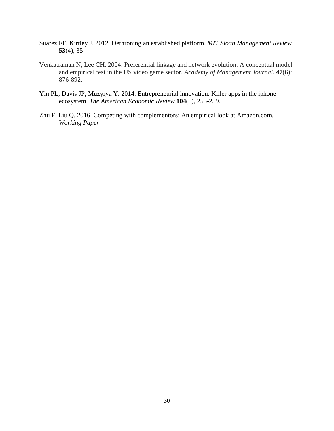- Suarez FF, Kirtley J. 2012. Dethroning an established platform. *MIT Sloan Management Review* **53**(4), 35
- Venkatraman N, Lee CH. 2004. Preferential linkage and network evolution: A conceptual model and empirical test in the US video game sector. *Academy of Management Journal.* **47**(6): 876-892.
- Yin PL, Davis JP, Muzyrya Y. 2014. Entrepreneurial innovation: Killer apps in the iphone ecosystem. *The American Economic Review* **104**(5), 255-259.
- Zhu F, Liu Q. 2016. Competing with complementors: An empirical look at Amazon.com. *Working Paper*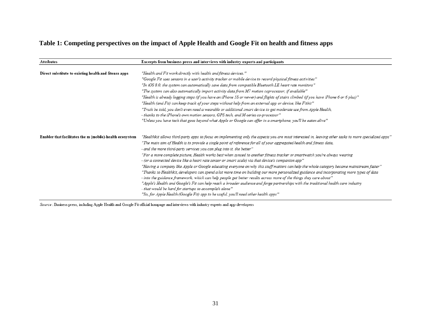## **Table 1: Competing perspectives on the impact of Apple Health and Google Fit on health and fitness apps**

| Attributes                                               | Excerpts from business press and interviews with industry experts and participants                                                                                                                                               |  |  |  |  |
|----------------------------------------------------------|----------------------------------------------------------------------------------------------------------------------------------------------------------------------------------------------------------------------------------|--|--|--|--|
|                                                          |                                                                                                                                                                                                                                  |  |  |  |  |
| Direct substitute to existing health and fitenss apps    | "Health and Fit work directly with health and fitness devices."                                                                                                                                                                  |  |  |  |  |
|                                                          | "Google Fit uses sensors in a user's activity tracker or mobile device to record physical fitness activities"                                                                                                                    |  |  |  |  |
|                                                          | "In iOS 8.0, the system can automatically save data from compatible Bluetooth LE heart rate monitors"                                                                                                                            |  |  |  |  |
|                                                          | "The system can also automatically import activity data from M7 motion coprocessor, if available"                                                                                                                                |  |  |  |  |
|                                                          | "Health is already logging steps (if you have an iPhone 5S or newer) and flights of stairs climbed (if you have iPhone 6 or 6 plus)"                                                                                             |  |  |  |  |
|                                                          | "Health (and Fit) can keep track of your steps without help from an external app or device, like Fitbit''                                                                                                                        |  |  |  |  |
|                                                          | "Truth be told, you don't even need a wearable or additional smart device to get moderate use from Apple Health,                                                                                                                 |  |  |  |  |
|                                                          | - thanks to the iPhone's own motion sensors, GPS tech, and M-series co-processor"                                                                                                                                                |  |  |  |  |
|                                                          | "Unless you have tech that goes beyond what Apple or Google can offer in a smartphone, you'll be eaten alive''                                                                                                                   |  |  |  |  |
| Enabler that facilitates the m (mobile)-health ecosystem | "Healthkit allows third-party apps to focus on implementing only the aspects you are most interested in, leaving other tasks to more specialized apps"                                                                           |  |  |  |  |
|                                                          | "The main aim of Health is to provide a single point of reference for all of your aggregated health and fitness data,                                                                                                            |  |  |  |  |
|                                                          | - and the more third-party services you can plug into it, the better"                                                                                                                                                            |  |  |  |  |
|                                                          | "For a more complete picture, Health works best when synced to another fitness tracker or smartwatch you're always wearing<br>- (or a connected device like a heart rate sensor or smart scale) via that device's companion app" |  |  |  |  |
|                                                          | "Having a company like Apple or Google educating everyone on why this stuff matters can help the whole category became mainstream faster"                                                                                        |  |  |  |  |
|                                                          | "Thanks to Healthkit, developers can spend a lot more time on building our more personalized guidance and incorporating more types of data                                                                                       |  |  |  |  |
|                                                          | - into the guidance framework, which can help people get better results across more of the things they care about"                                                                                                               |  |  |  |  |
|                                                          | "Apple's Health and Google's Fit can help reach a broader audience and forge partnerships with the traditional health care industry                                                                                              |  |  |  |  |
|                                                          | - that would be hard for startups to accomplish alone"                                                                                                                                                                           |  |  |  |  |
|                                                          | "So, for Apple Health (Google Fit) app to be useful, you'll need other health apps"                                                                                                                                              |  |  |  |  |

Source: Business press, including Apple Health and Google Fit official hompage and interviews with industry experts and app developers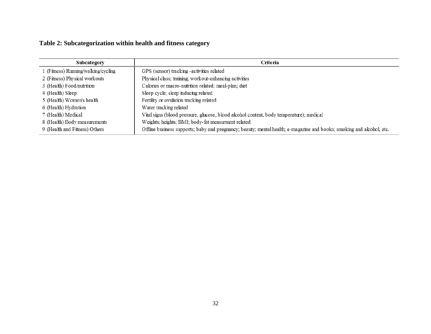# **Table 2: Subcategorization within health and fitness category**

| Subcategory                         | Criteria                                                                                                              |
|-------------------------------------|-----------------------------------------------------------------------------------------------------------------------|
| 1 (Fitness) Running/walking/cycling | GPS (sensor) tracking - activities related                                                                            |
| 2 (Fitness) Physical workouts       | Physical class; training; workout-enhancing activities                                                                |
| 3 (Health) Food/nutrition           | Calories or macro-nutrition related; meal-plan; diet                                                                  |
| 4 (Health) Sleep                    | Sleep cycle; sleep inducing related                                                                                   |
| 5 (Health) Women's health           | Fertility or ovulation tracking related                                                                               |
| 6 (Health) Hydration                | Water tracking related                                                                                                |
| 7 (Health) Medical                  | Vital signs (blood pressure, glucose, blood alcohol content, body temperature); medical                               |
| 8 (Health) Body measurements        | Weights; heights; BMI; body-fat measurment related                                                                    |
| 9 (Health and Fitness) Others       | Offline business supports; baby and pregnancy; beauty; mental health; e-magazine and books; smoking and alcohol, etc. |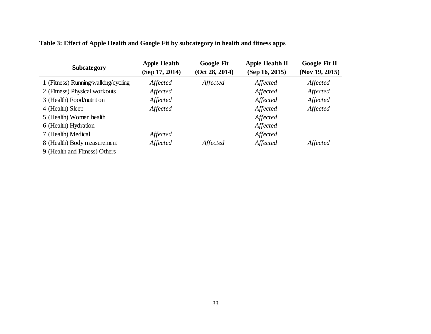| <b>Subcategory</b>                  | <b>Apple Health</b><br>(Sep 17, 2014) | <b>Google Fit</b><br>(Oct 28, 2014) | <b>Apple Health II</b><br>(Sep 16, 2015) | Google Fit II<br>(Nov 19, 2015) |
|-------------------------------------|---------------------------------------|-------------------------------------|------------------------------------------|---------------------------------|
| 1 (Fitness) Running/walking/cycling | Affected                              | Affected                            | Affected                                 | Affected                        |
| 2 (Fitness) Physical workouts       | Affected                              |                                     | Affected                                 | Affected                        |
| 3 (Health) Food/nutrition           | Affected                              |                                     | Affected                                 | Affected                        |
| 4 (Health) Sleep                    | Affected                              |                                     | Affected                                 | Affected                        |
| 5 (Health) Women health             |                                       |                                     | Affected                                 |                                 |
| 6 (Health) Hydration                |                                       |                                     | Affected                                 |                                 |
| 7 (Health) Medical                  | Affected                              |                                     | Affected                                 |                                 |
| 8 (Health) Body measurement         | Affected                              | Affected                            | Affected                                 | Affected                        |
| 9 (Health and Fitness) Others       |                                       |                                     |                                          |                                 |

**Table 3: Effect of Apple Health and Google Fit by subcategory in health and fitness apps**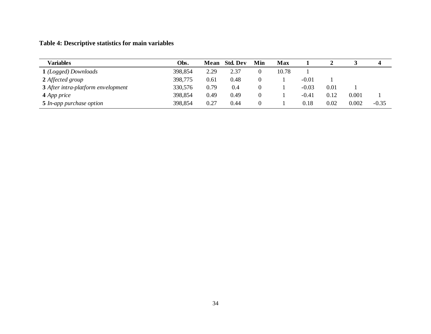# **Table 4: Descriptive statistics for main variables**

| Variables                                 | Obs.    | Mean | Std. Dev | Min | Max   |         |      |       |         |
|-------------------------------------------|---------|------|----------|-----|-------|---------|------|-------|---------|
| 1 (Logged) Downloads                      | 398,854 | 2.29 | 2.37     |     | 10.78 |         |      |       |         |
| 2 Affected group                          | 398,775 | 0.61 | 0.48     |     |       | $-0.01$ |      |       |         |
| <b>3</b> After intra-platform envelopment | 330,576 | 0.79 | 0.4      |     |       | $-0.03$ | 0.01 |       |         |
| 4 App price                               | 398,854 | 0.49 | 0.49     |     |       | $-0.41$ | 0.12 | 0.001 |         |
| <b>5</b> In-app purchase option           | 398,854 | 0.27 | 0.44     |     |       | 0.18    | 0.02 | 0.002 | $-0.35$ |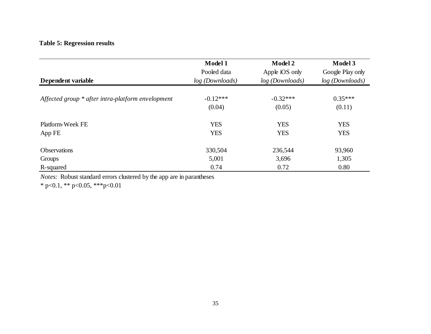# **Table 5: Regression results**

|                                                   | Model 1         | <b>Model 2</b>  | Model 3          |
|---------------------------------------------------|-----------------|-----------------|------------------|
|                                                   | Pooled data     | Apple iOS only  | Google Play only |
| Dependent variable                                | log (Downloads) | log (Downloads) | log (Downloads)  |
|                                                   |                 |                 |                  |
| Affected group * after intra-platform envelopment | $-0.12***$      | $-0.32***$      | $0.35***$        |
|                                                   | (0.04)          | (0.05)          | (0.11)           |
| Platform-Week FE                                  | <b>YES</b>      | <b>YES</b>      | <b>YES</b>       |
| App FE                                            | <b>YES</b>      | <b>YES</b>      | <b>YES</b>       |
| <b>Observations</b>                               | 330,504         | 236,544         | 93,960           |
| Groups                                            | 5,001           | 3,696           | 1,305            |
| R-squared                                         | 0.74            | 0.72            | 0.80             |

*Notes:* Robust standard errors clustered by the app are in parantheses

\* p<0.1, \*\* p<0.05, \*\*\* p<0.01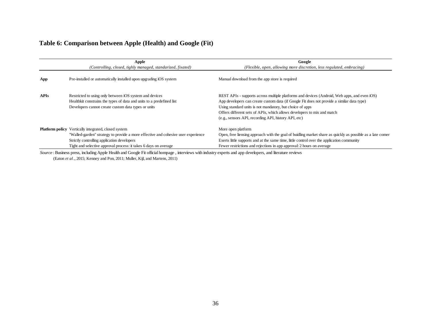### **Table 6: Comparison between Apple (Health) and Google (Fit)**

|             | Apple<br>(Controlling, closed, tighly managed, standarized, fixated)                                                                                                                                                                                                | Google<br>(Flexible, open, allowing more discretion, less regulated, embracing)                                                                                                                                                                                                                                                                                                            |
|-------------|---------------------------------------------------------------------------------------------------------------------------------------------------------------------------------------------------------------------------------------------------------------------|--------------------------------------------------------------------------------------------------------------------------------------------------------------------------------------------------------------------------------------------------------------------------------------------------------------------------------------------------------------------------------------------|
| App         | Pre-installed or automatically installed upon upgrading iOS system                                                                                                                                                                                                  | Manual download from the app store is required                                                                                                                                                                                                                                                                                                                                             |
| <b>APIs</b> | Restricted to using only between iOS system and devices<br>Healthkit constrains the types of data and units to a predefined list<br>Developers cannot create custom data types or units                                                                             | REST APIs - supports across multiple platforms and devices (Android, Web apps, and even iOS)<br>App developers can create custom data (if Google Fit does not provide a similar data type)<br>Using standard units is not mandatory, but choice of apps<br>Offers different sets of APIs, which allows developers to mix and match<br>(e.g., sensors API, recording API, history API, etc) |
|             | <b>Platform policy</b> Vertically integrated, closed system<br>"Walled-garden" strategy to provide a more effective and cohesive user experience<br>Strictly controlling application developers<br>Tight and selective approval process: it takes 6 days on average | More open platform<br>Open, free liensing approach with the goal of buidling market share as quickly as possible as a late comer<br>Exerts little supports and at the same time, little control over the application community<br>Fewer restrictions and rejections in app approval: 2 hours on average                                                                                    |

*Source* : Business press, including Apple Health and Google Fit official hompage , interviews with industry experts and app developers, and literature reviews (Eaton *et al*., 2015; Kenney and Pon, 2011; Muller, Kijl, and Martens, 2011)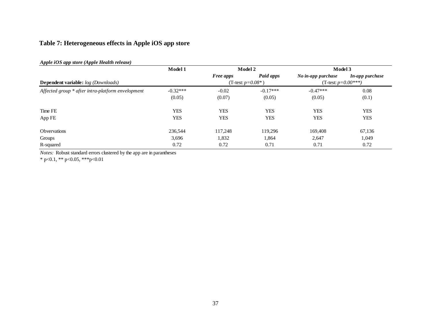# **Table 7: Heterogeneous effects in Apple iOS app store**

| Apple iOS app store (Apple Health release)        |            |                  |                      |                        |                 |  |
|---------------------------------------------------|------------|------------------|----------------------|------------------------|-----------------|--|
|                                                   | Model 1    | Model 2          |                      | Model 3                |                 |  |
|                                                   |            | <b>Free apps</b> | Paid apps            | No in-app purchase     | In-app purchase |  |
| <b>Dependent variable:</b> log (Downloads)        |            |                  | (T-test: $p=0.08*$ ) | (T-test: $p=0.00$ ***) |                 |  |
| Affected group * after intra-platform envelopment | $-0.32***$ | $-0.02$          | $-0.17***$           | $-0.47***$             | 0.08            |  |
|                                                   | (0.05)     | (0.07)           | (0.05)               | (0.05)                 | (0.1)           |  |
| Time FE                                           | <b>YES</b> | <b>YES</b>       | <b>YES</b>           | <b>YES</b>             | <b>YES</b>      |  |
| App FE                                            | <b>YES</b> | <b>YES</b>       | <b>YES</b>           | <b>YES</b>             | <b>YES</b>      |  |
| <b>Obvervations</b>                               | 236,544    | 117.248          | 119,296              | 169.408                | 67,136          |  |
| Groups                                            | 3,696      | 1,832            | 1,864                | 2,647                  | 1,049           |  |
| R-squared                                         | 0.72       | 0.72             | 0.71                 | 0.71                   | 0.72            |  |

*Notes:* Robust standard errors clustered by the app are in parantheses

\* p<0.1, \*\* p<0.05, \*\*\*p<0.01